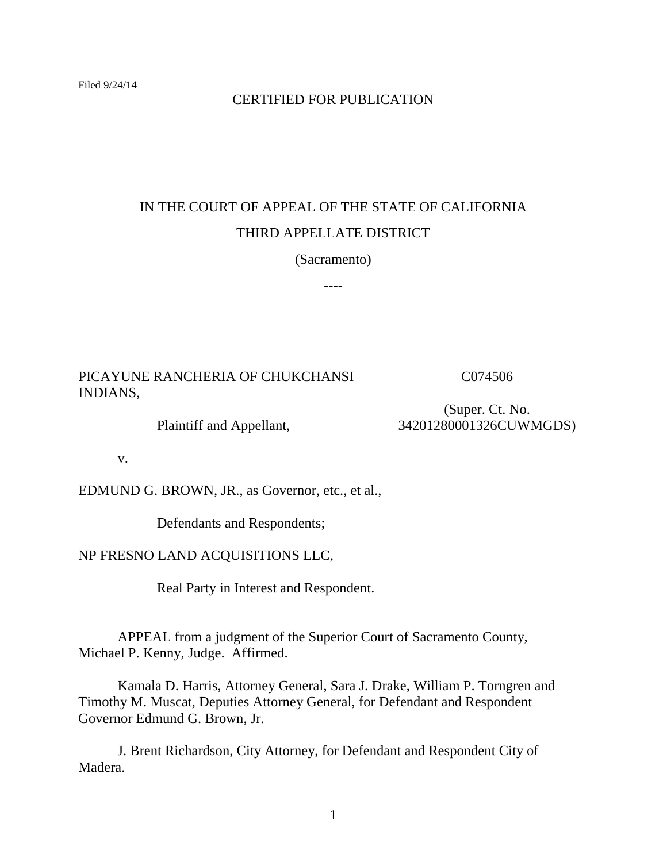### CERTIFIED FOR PUBLICATION

# IN THE COURT OF APPEAL OF THE STATE OF CALIFORNIA THIRD APPELLATE DISTRICT

(Sacramento)

----

PICAYUNE RANCHERIA OF CHUKCHANSI INDIANS,

Plaintiff and Appellant,

v.

EDMUND G. BROWN, JR., as Governor, etc., et al.,

Defendants and Respondents;

NP FRESNO LAND ACQUISITIONS LLC,

Real Party in Interest and Respondent.

APPEAL from a judgment of the Superior Court of Sacramento County, Michael P. Kenny, Judge. Affirmed.

Kamala D. Harris, Attorney General, Sara J. Drake, William P. Torngren and Timothy M. Muscat, Deputies Attorney General, for Defendant and Respondent Governor Edmund G. Brown, Jr.

J. Brent Richardson, City Attorney, for Defendant and Respondent City of Madera.

C074506

(Super. Ct. No. 34201280001326CUWMGDS)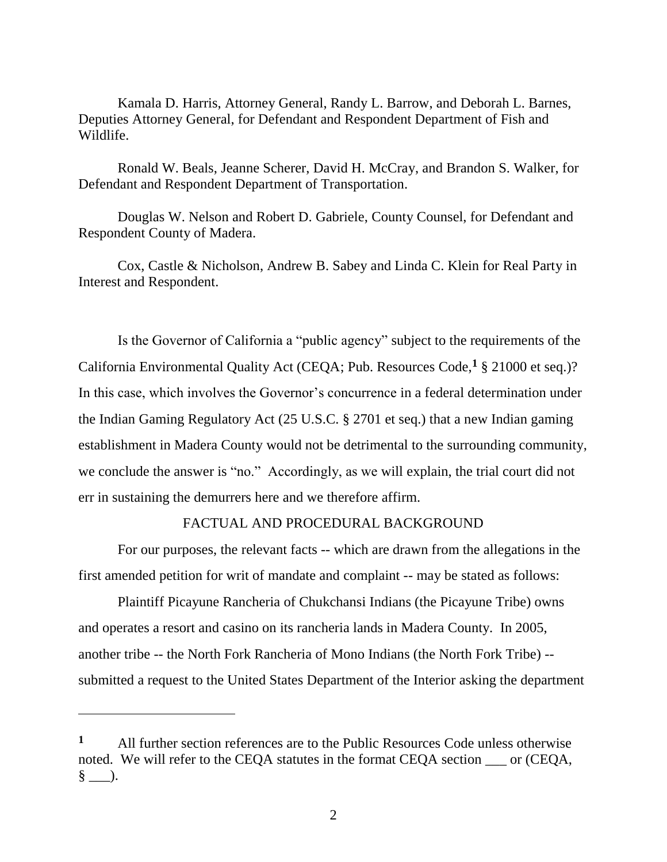Kamala D. Harris, Attorney General, Randy L. Barrow, and Deborah L. Barnes, Deputies Attorney General, for Defendant and Respondent Department of Fish and Wildlife.

Ronald W. Beals, Jeanne Scherer, David H. McCray, and Brandon S. Walker, for Defendant and Respondent Department of Transportation.

Douglas W. Nelson and Robert D. Gabriele, County Counsel, for Defendant and Respondent County of Madera.

Cox, Castle & Nicholson, Andrew B. Sabey and Linda C. Klein for Real Party in Interest and Respondent.

Is the Governor of California a "public agency" subject to the requirements of the California Environmental Quality Act (CEQA; Pub. Resources Code,**<sup>1</sup>** § 21000 et seq.)? In this case, which involves the Governor's concurrence in a federal determination under the Indian Gaming Regulatory Act (25 U.S.C. § 2701 et seq.) that a new Indian gaming establishment in Madera County would not be detrimental to the surrounding community, we conclude the answer is "no." Accordingly, as we will explain, the trial court did not err in sustaining the demurrers here and we therefore affirm.

#### FACTUAL AND PROCEDURAL BACKGROUND

For our purposes, the relevant facts -- which are drawn from the allegations in the first amended petition for writ of mandate and complaint -- may be stated as follows:

Plaintiff Picayune Rancheria of Chukchansi Indians (the Picayune Tribe) owns and operates a resort and casino on its rancheria lands in Madera County. In 2005, another tribe -- the North Fork Rancheria of Mono Indians (the North Fork Tribe) - submitted a request to the United States Department of the Interior asking the department

 $\overline{a}$ 

**<sup>1</sup>** All further section references are to the Public Resources Code unless otherwise noted. We will refer to the CEQA statutes in the format CEQA section \_\_\_ or (CEQA, § \_\_\_).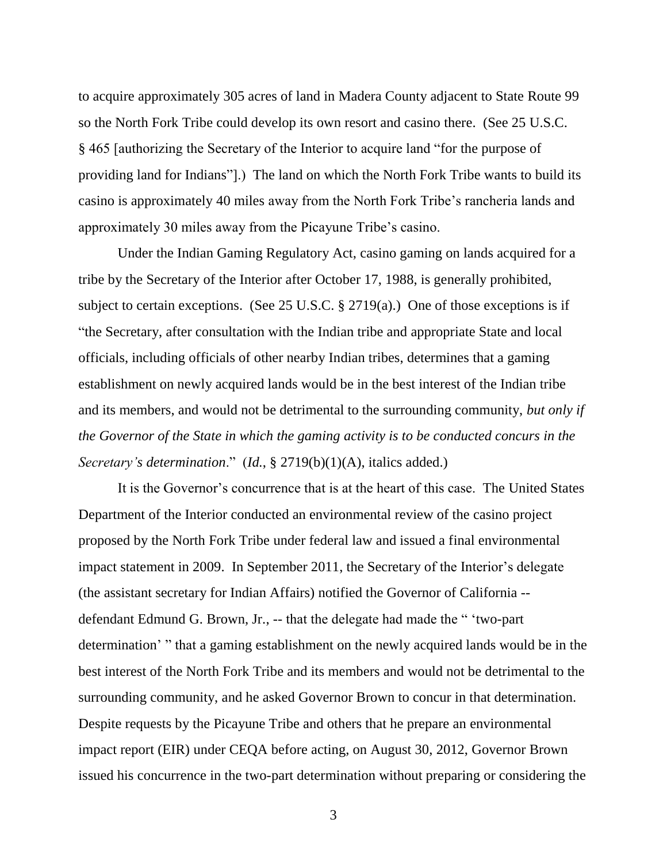to acquire approximately 305 acres of land in Madera County adjacent to State Route 99 so the North Fork Tribe could develop its own resort and casino there. (See 25 U.S.C. § 465 [authorizing the Secretary of the Interior to acquire land "for the purpose of providing land for Indians"].) The land on which the North Fork Tribe wants to build its casino is approximately 40 miles away from the North Fork Tribe's rancheria lands and approximately 30 miles away from the Picayune Tribe's casino.

Under the Indian Gaming Regulatory Act, casino gaming on lands acquired for a tribe by the Secretary of the Interior after October 17, 1988, is generally prohibited, subject to certain exceptions. (See 25 U.S.C. § 2719(a).) One of those exceptions is if "the Secretary, after consultation with the Indian tribe and appropriate State and local officials, including officials of other nearby Indian tribes, determines that a gaming establishment on newly acquired lands would be in the best interest of the Indian tribe and its members, and would not be detrimental to the surrounding community, *but only if the Governor of the State in which the gaming activity is to be conducted concurs in the Secretary's determination*." (*Id.*, § 2719(b)(1)(A), italics added.)

It is the Governor's concurrence that is at the heart of this case. The United States Department of the Interior conducted an environmental review of the casino project proposed by the North Fork Tribe under federal law and issued a final environmental impact statement in 2009. In September 2011, the Secretary of the Interior's delegate (the assistant secretary for Indian Affairs) notified the Governor of California - defendant Edmund G. Brown, Jr., -- that the delegate had made the " 'two-part determination' " that a gaming establishment on the newly acquired lands would be in the best interest of the North Fork Tribe and its members and would not be detrimental to the surrounding community, and he asked Governor Brown to concur in that determination. Despite requests by the Picayune Tribe and others that he prepare an environmental impact report (EIR) under CEQA before acting, on August 30, 2012, Governor Brown issued his concurrence in the two-part determination without preparing or considering the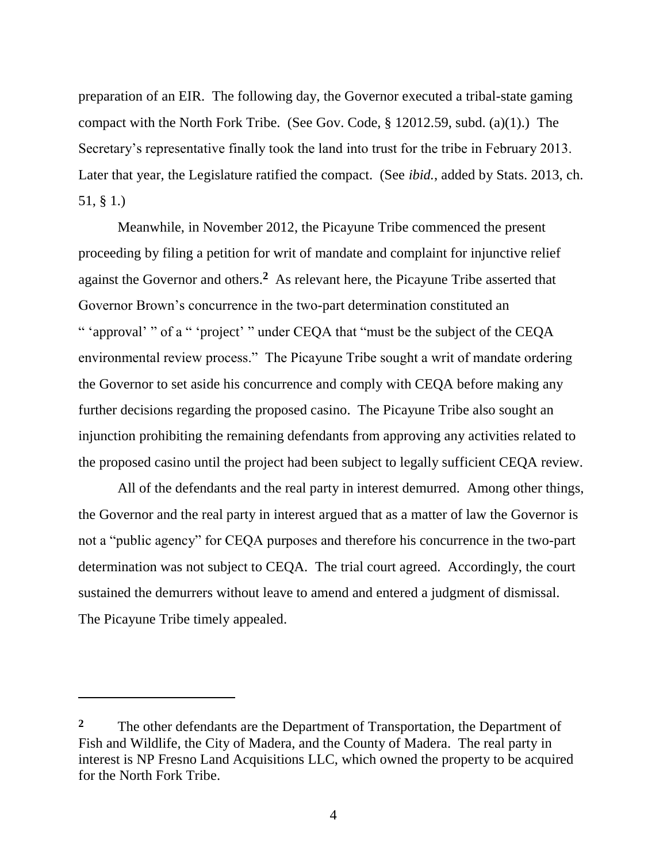preparation of an EIR. The following day, the Governor executed a tribal-state gaming compact with the North Fork Tribe. (See Gov. Code, § 12012.59, subd. (a)(1).) The Secretary's representative finally took the land into trust for the tribe in February 2013. Later that year, the Legislature ratified the compact. (See *ibid.*, added by Stats. 2013, ch. 51, § 1.)

Meanwhile, in November 2012, the Picayune Tribe commenced the present proceeding by filing a petition for writ of mandate and complaint for injunctive relief against the Governor and others. **2** As relevant here, the Picayune Tribe asserted that Governor Brown's concurrence in the two-part determination constituted an " 'approval' " of a " 'project' " under CEQA that "must be the subject of the CEQA environmental review process." The Picayune Tribe sought a writ of mandate ordering the Governor to set aside his concurrence and comply with CEQA before making any further decisions regarding the proposed casino. The Picayune Tribe also sought an injunction prohibiting the remaining defendants from approving any activities related to the proposed casino until the project had been subject to legally sufficient CEQA review.

All of the defendants and the real party in interest demurred. Among other things, the Governor and the real party in interest argued that as a matter of law the Governor is not a "public agency" for CEQA purposes and therefore his concurrence in the two-part determination was not subject to CEQA. The trial court agreed. Accordingly, the court sustained the demurrers without leave to amend and entered a judgment of dismissal. The Picayune Tribe timely appealed.

<sup>&</sup>lt;sup>2</sup> The other defendants are the Department of Transportation, the Department of Fish and Wildlife, the City of Madera, and the County of Madera. The real party in interest is NP Fresno Land Acquisitions LLC, which owned the property to be acquired for the North Fork Tribe.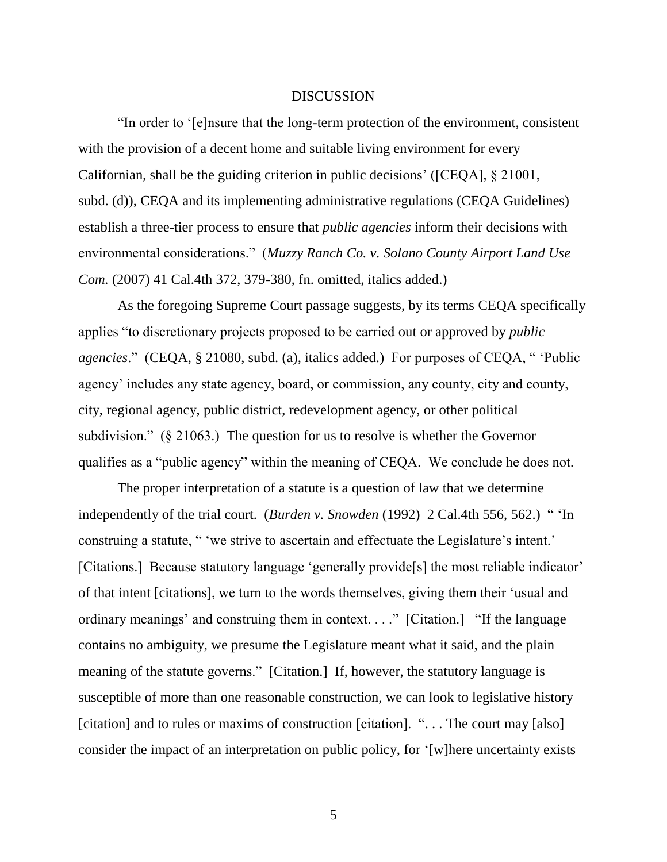#### DISCUSSION

"In order to '[e]nsure that the long-term protection of the environment, consistent with the provision of a decent home and suitable living environment for every Californian, shall be the guiding criterion in public decisions' ([CEQA], § 21001, subd. (d)), CEQA and its implementing administrative regulations (CEQA Guidelines) establish a three-tier process to ensure that *public agencies* inform their decisions with environmental considerations." (*Muzzy Ranch Co. v. Solano County Airport Land Use Com.* (2007) 41 Cal.4th 372, 379-380, fn. omitted, italics added.)

As the foregoing Supreme Court passage suggests, by its terms CEQA specifically applies "to discretionary projects proposed to be carried out or approved by *public agencies*." (CEQA, § 21080, subd. (a), italics added.) For purposes of CEQA, " 'Public agency' includes any state agency, board, or commission, any county, city and county, city, regional agency, public district, redevelopment agency, or other political subdivision." (§ 21063.) The question for us to resolve is whether the Governor qualifies as a "public agency" within the meaning of CEQA. We conclude he does not.

The proper interpretation of a statute is a question of law that we determine independently of the trial court. (*Burden v. Snowden* (1992) 2 Cal.4th 556, 562.) " 'In construing a statute, " 'we strive to ascertain and effectuate the Legislature's intent.' [Citations.] Because statutory language 'generally provide[s] the most reliable indicator' of that intent [citations], we turn to the words themselves, giving them their 'usual and ordinary meanings' and construing them in context. . . ." [Citation.] "If the language contains no ambiguity, we presume the Legislature meant what it said, and the plain meaning of the statute governs." [Citation.] If, however, the statutory language is susceptible of more than one reasonable construction, we can look to legislative history [citation] and to rules or maxims of construction [citation]. "... The court may [also] consider the impact of an interpretation on public policy, for '[w]here uncertainty exists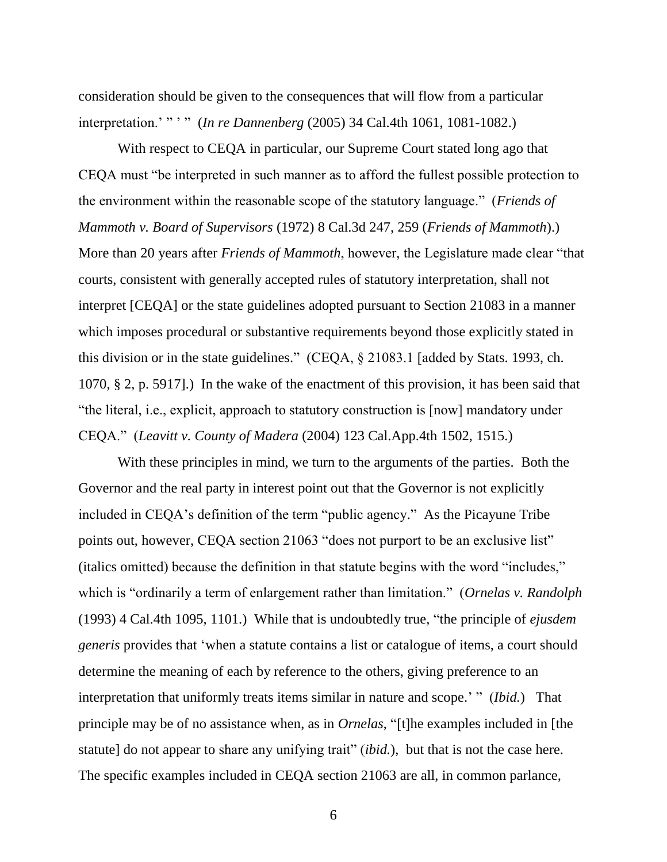consideration should be given to the consequences that will flow from a particular interpretation.' " ' " (*In re Dannenberg* (2005) 34 Cal.4th 1061, 1081-1082.)

With respect to CEQA in particular, our Supreme Court stated long ago that CEQA must "be interpreted in such manner as to afford the fullest possible protection to the environment within the reasonable scope of the statutory language." (*Friends of Mammoth v. Board of Supervisors* (1972) 8 Cal.3d 247, 259 (*Friends of Mammoth*).) More than 20 years after *Friends of Mammoth*, however, the Legislature made clear "that courts, consistent with generally accepted rules of statutory interpretation, shall not interpret [CEQA] or the state guidelines adopted pursuant to Section 21083 in a manner which imposes procedural or substantive requirements beyond those explicitly stated in this division or in the state guidelines." (CEQA, § 21083.1 [added by Stats. 1993, ch. 1070, § 2, p. 5917].) In the wake of the enactment of this provision, it has been said that "the literal, i.e., explicit, approach to statutory construction is [now] mandatory under CEQA." (*Leavitt v. County of Madera* (2004) 123 Cal.App.4th 1502, 1515.)

With these principles in mind, we turn to the arguments of the parties. Both the Governor and the real party in interest point out that the Governor is not explicitly included in CEQA's definition of the term "public agency." As the Picayune Tribe points out, however, CEQA section 21063 "does not purport to be an exclusive list" (italics omitted) because the definition in that statute begins with the word "includes," which is "ordinarily a term of enlargement rather than limitation." (*Ornelas v. Randolph* (1993) 4 Cal.4th 1095, 1101.) While that is undoubtedly true, "the principle of *ejusdem generis* provides that 'when a statute contains a list or catalogue of items, a court should determine the meaning of each by reference to the others, giving preference to an interpretation that uniformly treats items similar in nature and scope.' " (*Ibid.*) That principle may be of no assistance when, as in *Ornelas*, "[t]he examples included in [the statute] do not appear to share any unifying trait" (*ibid.*), but that is not the case here. The specific examples included in CEQA section 21063 are all, in common parlance,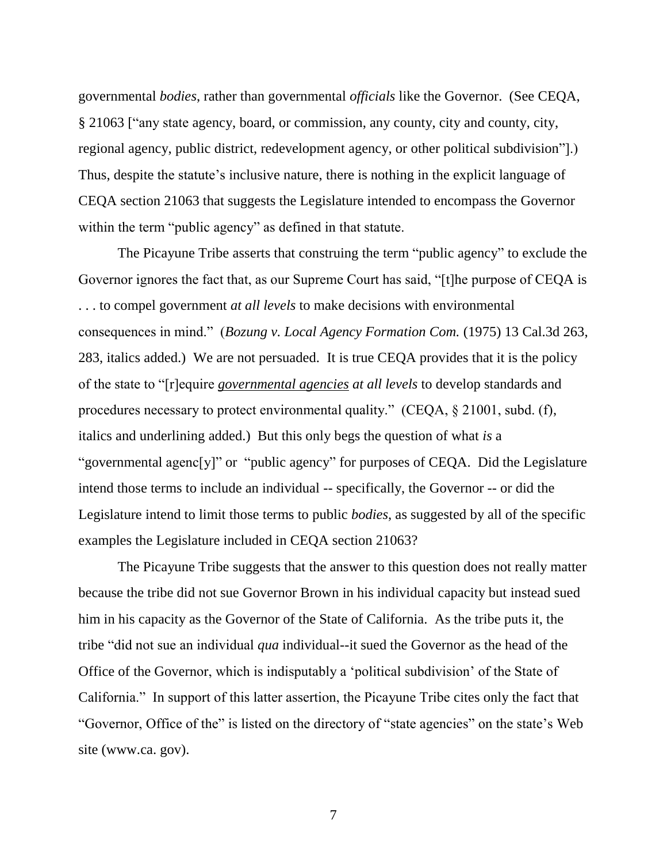governmental *bodies*, rather than governmental *officials* like the Governor. (See CEQA, § 21063 ["any state agency, board, or commission, any county, city and county, city, regional agency, public district, redevelopment agency, or other political subdivision"].) Thus, despite the statute's inclusive nature, there is nothing in the explicit language of CEQA section 21063 that suggests the Legislature intended to encompass the Governor within the term "public agency" as defined in that statute.

The Picayune Tribe asserts that construing the term "public agency" to exclude the Governor ignores the fact that, as our Supreme Court has said, "[t]he purpose of CEQA is . . . to compel government *at all levels* to make decisions with environmental consequences in mind." (*Bozung v. Local Agency Formation Com.* (1975) 13 Cal.3d 263, 283, italics added.) We are not persuaded. It is true CEQA provides that it is the policy of the state to "[r]equire *governmental agencies at all levels* to develop standards and procedures necessary to protect environmental quality." (CEQA, § 21001, subd. (f), italics and underlining added.) But this only begs the question of what *is* a "governmental agenc[y]" or "public agency" for purposes of CEQA. Did the Legislature intend those terms to include an individual -- specifically, the Governor -- or did the Legislature intend to limit those terms to public *bodies*, as suggested by all of the specific examples the Legislature included in CEQA section 21063?

The Picayune Tribe suggests that the answer to this question does not really matter because the tribe did not sue Governor Brown in his individual capacity but instead sued him in his capacity as the Governor of the State of California. As the tribe puts it, the tribe "did not sue an individual *qua* individual--it sued the Governor as the head of the Office of the Governor, which is indisputably a 'political subdivision' of the State of California." In support of this latter assertion, the Picayune Tribe cites only the fact that "Governor, Office of the" is listed on the directory of "state agencies" on the state's Web site (www.ca. gov).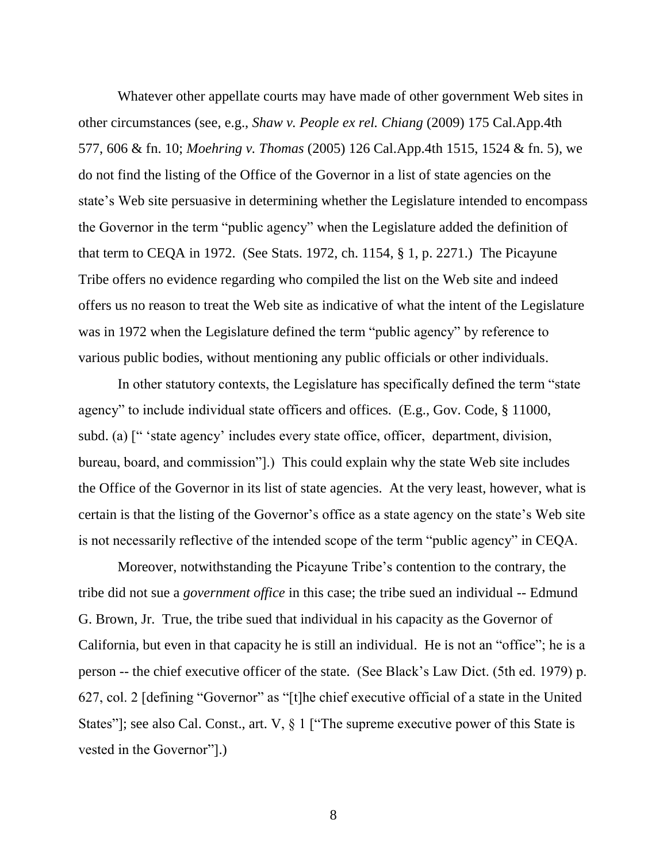Whatever other appellate courts may have made of other government Web sites in other circumstances (see, e.g., *Shaw v. People ex rel. Chiang* (2009) 175 Cal.App.4th 577, 606 & fn. 10; *Moehring v. Thomas* (2005) 126 Cal.App.4th 1515, 1524 & fn. 5), we do not find the listing of the Office of the Governor in a list of state agencies on the state's Web site persuasive in determining whether the Legislature intended to encompass the Governor in the term "public agency" when the Legislature added the definition of that term to CEQA in 1972. (See Stats. 1972, ch. 1154, § 1, p. 2271.) The Picayune Tribe offers no evidence regarding who compiled the list on the Web site and indeed offers us no reason to treat the Web site as indicative of what the intent of the Legislature was in 1972 when the Legislature defined the term "public agency" by reference to various public bodies, without mentioning any public officials or other individuals.

In other statutory contexts, the Legislature has specifically defined the term "state agency" to include individual state officers and offices. (E.g., Gov. Code, § 11000, subd. (a) [" 'state agency' includes every state office, officer, department, division, bureau, board, and commission"].) This could explain why the state Web site includes the Office of the Governor in its list of state agencies. At the very least, however, what is certain is that the listing of the Governor's office as a state agency on the state's Web site is not necessarily reflective of the intended scope of the term "public agency" in CEQA.

Moreover, notwithstanding the Picayune Tribe's contention to the contrary, the tribe did not sue a *government office* in this case; the tribe sued an individual -- Edmund G. Brown, Jr. True, the tribe sued that individual in his capacity as the Governor of California, but even in that capacity he is still an individual. He is not an "office"; he is a person -- the chief executive officer of the state. (See Black's Law Dict. (5th ed. 1979) p. 627, col. 2 [defining "Governor" as "[t]he chief executive official of a state in the United States"]; see also Cal. Const., art. V, § 1 ["The supreme executive power of this State is vested in the Governor"].)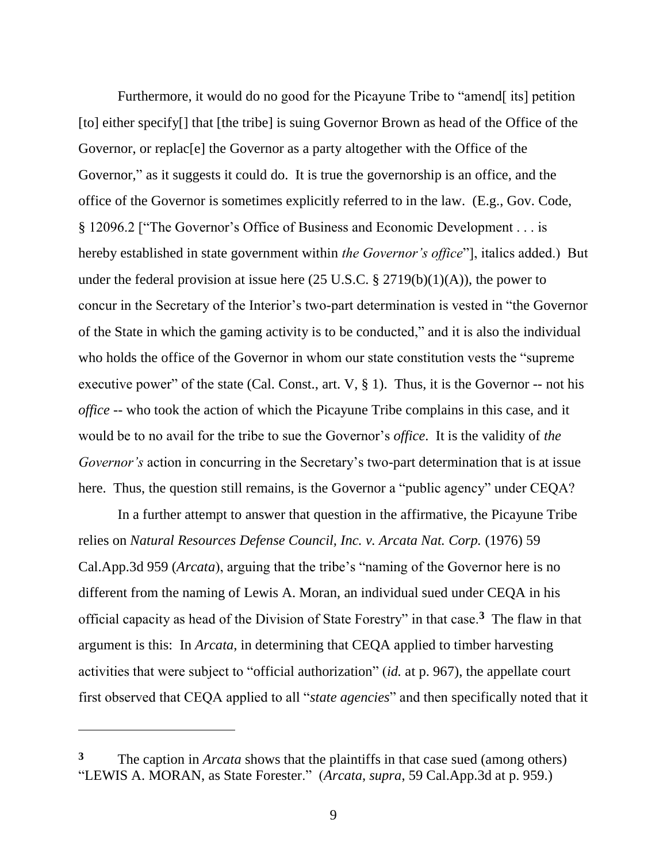Furthermore, it would do no good for the Picayune Tribe to "amend[ its] petition [to] either specify<sup>[]</sup> that [the tribe] is suing Governor Brown as head of the Office of the Governor, or replac[e] the Governor as a party altogether with the Office of the Governor," as it suggests it could do. It is true the governorship is an office, and the office of the Governor is sometimes explicitly referred to in the law. (E.g., Gov. Code, § 12096.2 ["The Governor's Office of Business and Economic Development . . . is hereby established in state government within *the Governor's office*"], italics added.) But under the federal provision at issue here  $(25 \text{ U.S.C.} \text{ § } 2719(b)(1)(A))$ , the power to concur in the Secretary of the Interior's two-part determination is vested in "the Governor of the State in which the gaming activity is to be conducted," and it is also the individual who holds the office of the Governor in whom our state constitution vests the "supreme executive power" of the state (Cal. Const., art.  $V$ ,  $\S$  1). Thus, it is the Governor -- not his *office* -- who took the action of which the Picayune Tribe complains in this case, and it would be to no avail for the tribe to sue the Governor's *office*. It is the validity of *the Governor's* action in concurring in the Secretary's two-part determination that is at issue here. Thus, the question still remains, is the Governor a "public agency" under CEQA?

In a further attempt to answer that question in the affirmative, the Picayune Tribe relies on *Natural Resources Defense Council, Inc. v. Arcata Nat. Corp.* (1976) 59 Cal.App.3d 959 (*Arcata*), arguing that the tribe's "naming of the Governor here is no different from the naming of Lewis A. Moran, an individual sued under CEQA in his official capacity as head of the Division of State Forestry" in that case.**<sup>3</sup>** The flaw in that argument is this: In *Arcata*, in determining that CEQA applied to timber harvesting activities that were subject to "official authorization" (*id.* at p. 967), the appellate court first observed that CEQA applied to all "*state agencies*" and then specifically noted that it

 $\overline{a}$ 

**<sup>3</sup>** The caption in *Arcata* shows that the plaintiffs in that case sued (among others) "LEWIS A. MORAN, as State Forester." (*Arcata*, *supra*, 59 Cal.App.3d at p. 959.)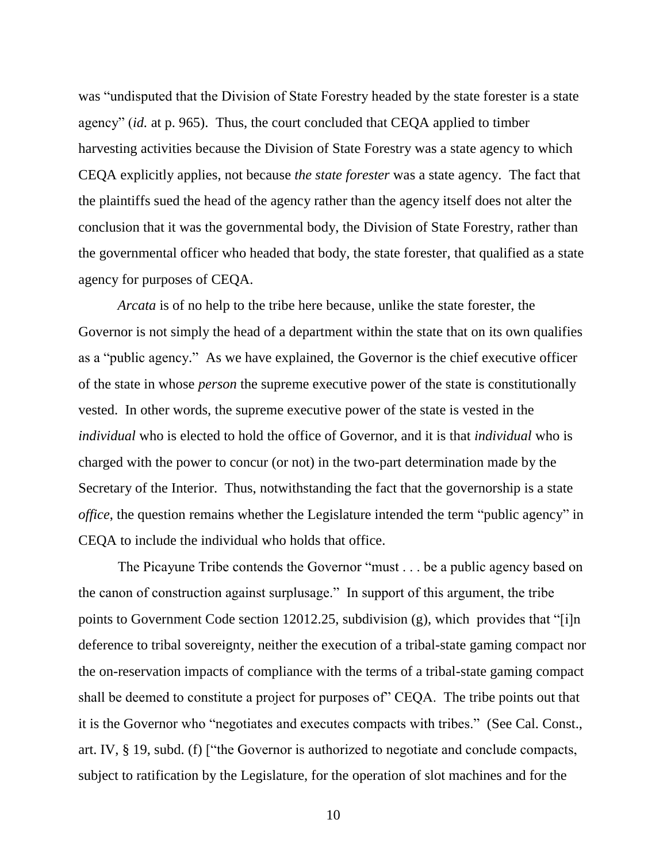was "undisputed that the Division of State Forestry headed by the state forester is a state agency" (*id.* at p. 965). Thus, the court concluded that CEQA applied to timber harvesting activities because the Division of State Forestry was a state agency to which CEQA explicitly applies, not because *the state forester* was a state agency. The fact that the plaintiffs sued the head of the agency rather than the agency itself does not alter the conclusion that it was the governmental body, the Division of State Forestry, rather than the governmental officer who headed that body, the state forester, that qualified as a state agency for purposes of CEQA.

*Arcata* is of no help to the tribe here because, unlike the state forester, the Governor is not simply the head of a department within the state that on its own qualifies as a "public agency." As we have explained, the Governor is the chief executive officer of the state in whose *person* the supreme executive power of the state is constitutionally vested. In other words, the supreme executive power of the state is vested in the *individual* who is elected to hold the office of Governor, and it is that *individual* who is charged with the power to concur (or not) in the two-part determination made by the Secretary of the Interior. Thus, notwithstanding the fact that the governorship is a state *office*, the question remains whether the Legislature intended the term "public agency" in CEQA to include the individual who holds that office.

The Picayune Tribe contends the Governor "must . . . be a public agency based on the canon of construction against surplusage." In support of this argument, the tribe points to Government Code section 12012.25, subdivision (g), which provides that "[i]n deference to tribal sovereignty, neither the execution of a tribal-state gaming compact nor the on-reservation impacts of compliance with the terms of a tribal-state gaming compact shall be deemed to constitute a project for purposes of" CEQA. The tribe points out that it is the Governor who "negotiates and executes compacts with tribes." (See Cal. Const., art. IV, § 19, subd. (f) ["the Governor is authorized to negotiate and conclude compacts, subject to ratification by the Legislature, for the operation of slot machines and for the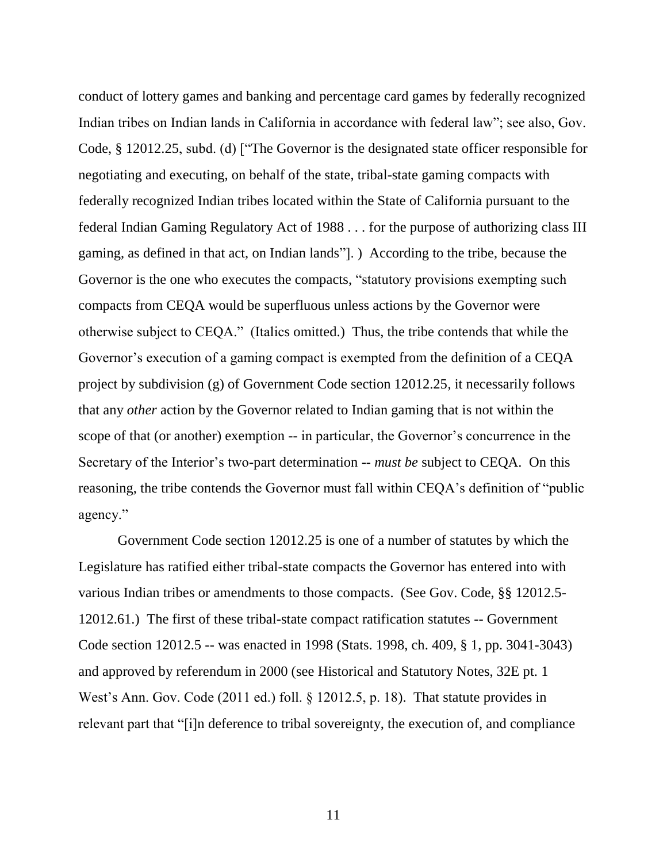conduct of lottery games and banking and percentage card games by federally recognized Indian tribes on Indian lands in California in accordance with federal law"; see also, Gov. Code, § 12012.25, subd. (d) ["The Governor is the designated state officer responsible for negotiating and executing, on behalf of the state, tribal-state gaming compacts with federally recognized Indian tribes located within the State of California pursuant to the federal Indian Gaming Regulatory Act of 1988 . . . for the purpose of authorizing class III gaming, as defined in that act, on Indian lands"]. ) According to the tribe, because the Governor is the one who executes the compacts, "statutory provisions exempting such compacts from CEQA would be superfluous unless actions by the Governor were otherwise subject to CEQA." (Italics omitted.) Thus, the tribe contends that while the Governor's execution of a gaming compact is exempted from the definition of a CEQA project by subdivision (g) of Government Code section 12012.25, it necessarily follows that any *other* action by the Governor related to Indian gaming that is not within the scope of that (or another) exemption -- in particular, the Governor's concurrence in the Secretary of the Interior's two-part determination -- *must be* subject to CEQA. On this reasoning, the tribe contends the Governor must fall within CEQA's definition of "public agency."

Government Code section 12012.25 is one of a number of statutes by which the Legislature has ratified either tribal-state compacts the Governor has entered into with various Indian tribes or amendments to those compacts. (See Gov. Code, §§ 12012.5- 12012.61.) The first of these tribal-state compact ratification statutes -- Government Code section 12012.5 -- was enacted in 1998 (Stats. 1998, ch. 409, § 1, pp. 3041-3043) and approved by referendum in 2000 (see Historical and Statutory Notes, 32E pt. 1 West's Ann. Gov. Code (2011 ed.) foll. § 12012.5, p. 18). That statute provides in relevant part that "[i]n deference to tribal sovereignty, the execution of, and compliance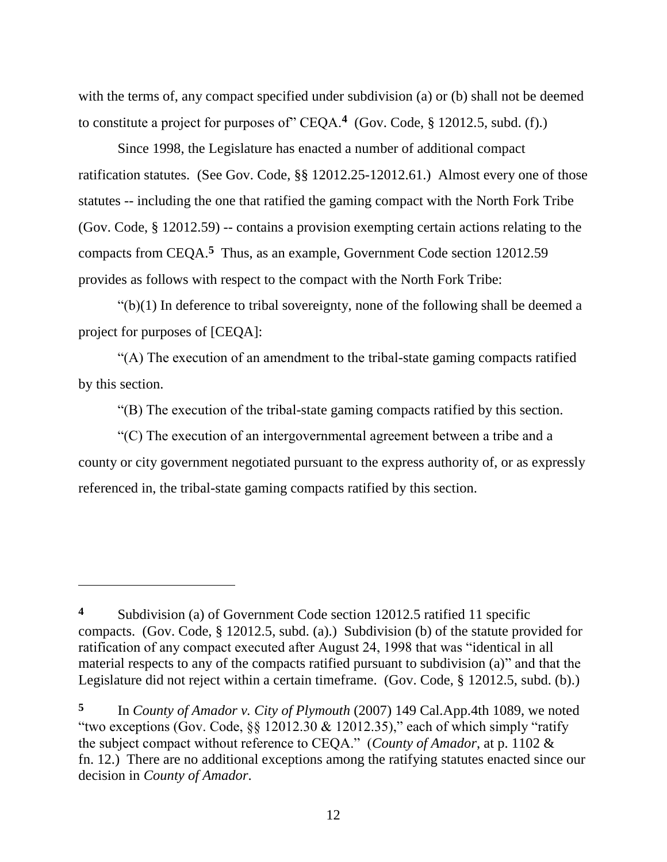with the terms of, any compact specified under subdivision (a) or (b) shall not be deemed to constitute a project for purposes of" CEQA.**<sup>4</sup>** (Gov. Code, § 12012.5, subd. (f).)

Since 1998, the Legislature has enacted a number of additional compact ratification statutes. (See Gov. Code, §§ 12012.25-12012.61.) Almost every one of those statutes -- including the one that ratified the gaming compact with the North Fork Tribe (Gov. Code, § 12012.59) -- contains a provision exempting certain actions relating to the compacts from CEQA.**<sup>5</sup>** Thus, as an example, Government Code section 12012.59 provides as follows with respect to the compact with the North Fork Tribe:

 $\degree$ (b)(1) In deference to tribal sovereignty, none of the following shall be deemed a project for purposes of [CEQA]:

"(A) The execution of an amendment to the tribal-state gaming compacts ratified by this section.

"(B) The execution of the tribal-state gaming compacts ratified by this section.

"(C) The execution of an intergovernmental agreement between a tribe and a county or city government negotiated pursuant to the express authority of, or as expressly referenced in, the tribal-state gaming compacts ratified by this section.

 $\overline{a}$ 

**<sup>4</sup>** Subdivision (a) of Government Code section 12012.5 ratified 11 specific compacts. (Gov. Code, § 12012.5, subd. (a).) Subdivision (b) of the statute provided for ratification of any compact executed after August 24, 1998 that was "identical in all material respects to any of the compacts ratified pursuant to subdivision (a)" and that the Legislature did not reject within a certain timeframe. (Gov. Code, § 12012.5, subd. (b).)

**<sup>5</sup>** In *County of Amador v. City of Plymouth* (2007) 149 Cal.App.4th 1089, we noted "two exceptions (Gov. Code,  $\S$ § 12012.30 & 12012.35)," each of which simply "ratify" the subject compact without reference to CEQA." (*County of Amador*, at p. 1102 & fn. 12.) There are no additional exceptions among the ratifying statutes enacted since our decision in *County of Amador*.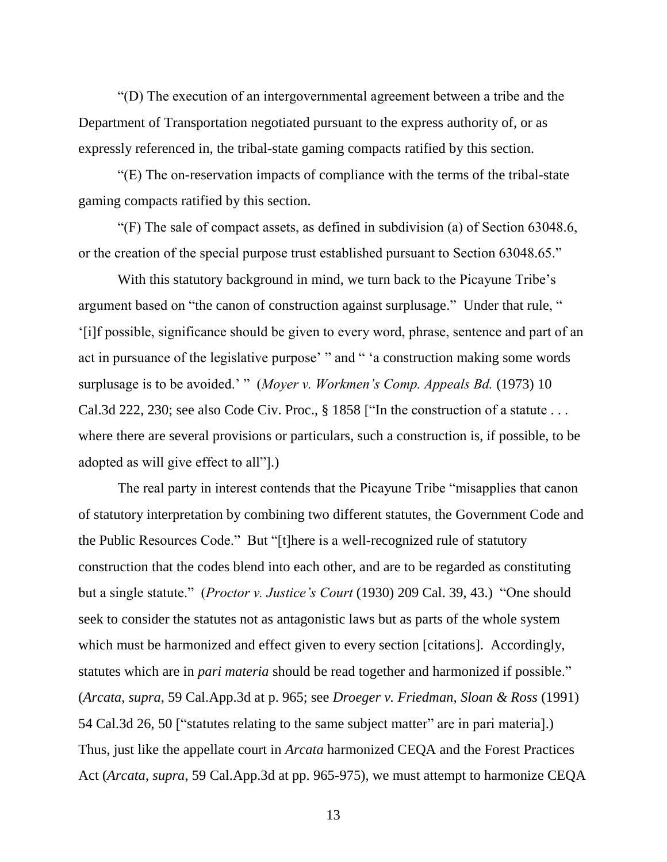"(D) The execution of an intergovernmental agreement between a tribe and the Department of Transportation negotiated pursuant to the express authority of, or as expressly referenced in, the tribal-state gaming compacts ratified by this section.

"(E) The on-reservation impacts of compliance with the terms of the tribal-state gaming compacts ratified by this section.

"(F) The sale of compact assets, as defined in subdivision (a) of Section 63048.6, or the creation of the special purpose trust established pursuant to Section 63048.65."

With this statutory background in mind, we turn back to the Picayune Tribe's argument based on "the canon of construction against surplusage." Under that rule, " '[i]f possible, significance should be given to every word, phrase, sentence and part of an act in pursuance of the legislative purpose' " and " 'a construction making some words surplusage is to be avoided.' " (*Moyer v. Workmen's Comp. Appeals Bd.* (1973) 10 Cal.3d 222, 230; see also Code Civ. Proc., § 1858 ["In the construction of a statute . . . where there are several provisions or particulars, such a construction is, if possible, to be adopted as will give effect to all"].)

The real party in interest contends that the Picayune Tribe "misapplies that canon of statutory interpretation by combining two different statutes, the Government Code and the Public Resources Code." But "[t]here is a well-recognized rule of statutory construction that the codes blend into each other, and are to be regarded as constituting but a single statute." (*Proctor v. Justice's Court* (1930) 209 Cal. 39, 43.) "One should seek to consider the statutes not as antagonistic laws but as parts of the whole system which must be harmonized and effect given to every section [citations]. Accordingly, statutes which are in *pari materia* should be read together and harmonized if possible." (*Arcata*, *supra*, 59 Cal.App.3d at p. 965; see *Droeger v. Friedman, Sloan & Ross* (1991) 54 Cal.3d 26, 50 ["statutes relating to the same subject matter" are in pari materia].) Thus, just like the appellate court in *Arcata* harmonized CEQA and the Forest Practices Act (*Arcata*, *supra*, 59 Cal.App.3d at pp. 965-975), we must attempt to harmonize CEQA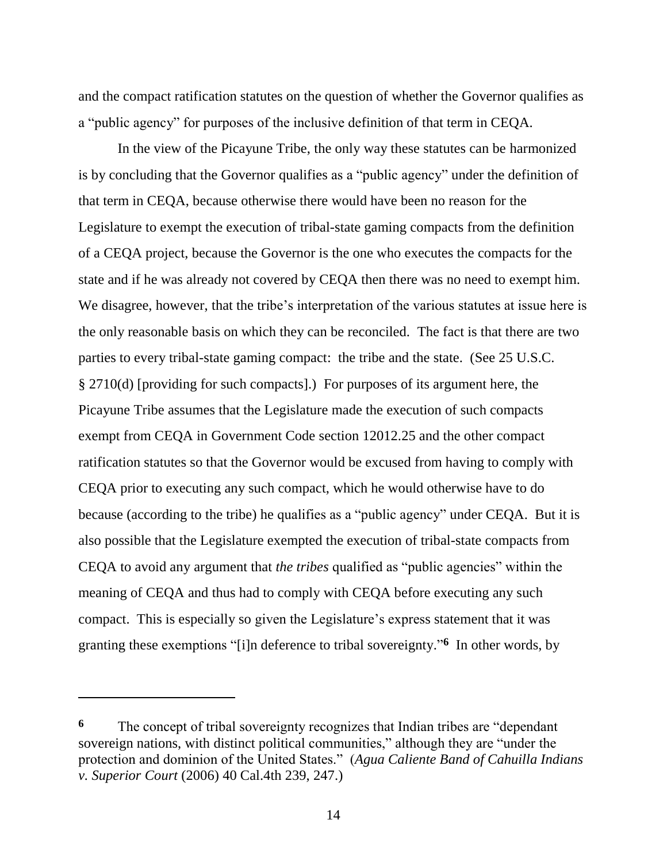and the compact ratification statutes on the question of whether the Governor qualifies as a "public agency" for purposes of the inclusive definition of that term in CEQA.

In the view of the Picayune Tribe, the only way these statutes can be harmonized is by concluding that the Governor qualifies as a "public agency" under the definition of that term in CEQA, because otherwise there would have been no reason for the Legislature to exempt the execution of tribal-state gaming compacts from the definition of a CEQA project, because the Governor is the one who executes the compacts for the state and if he was already not covered by CEQA then there was no need to exempt him. We disagree, however, that the tribe's interpretation of the various statutes at issue here is the only reasonable basis on which they can be reconciled. The fact is that there are two parties to every tribal-state gaming compact: the tribe and the state. (See 25 U.S.C. § 2710(d) [providing for such compacts].) For purposes of its argument here, the Picayune Tribe assumes that the Legislature made the execution of such compacts exempt from CEQA in Government Code section 12012.25 and the other compact ratification statutes so that the Governor would be excused from having to comply with CEQA prior to executing any such compact, which he would otherwise have to do because (according to the tribe) he qualifies as a "public agency" under CEQA. But it is also possible that the Legislature exempted the execution of tribal-state compacts from CEQA to avoid any argument that *the tribes* qualified as "public agencies" within the meaning of CEQA and thus had to comply with CEQA before executing any such compact. This is especially so given the Legislature's express statement that it was granting these exemptions "[i]n deference to tribal sovereignty."<sup>6</sup> In other words, by

**<sup>6</sup>** The concept of tribal sovereignty recognizes that Indian tribes are "dependant sovereign nations, with distinct political communities," although they are "under the protection and dominion of the United States." (*Agua Caliente Band of Cahuilla Indians v. Superior Court* (2006) 40 Cal.4th 239, 247.)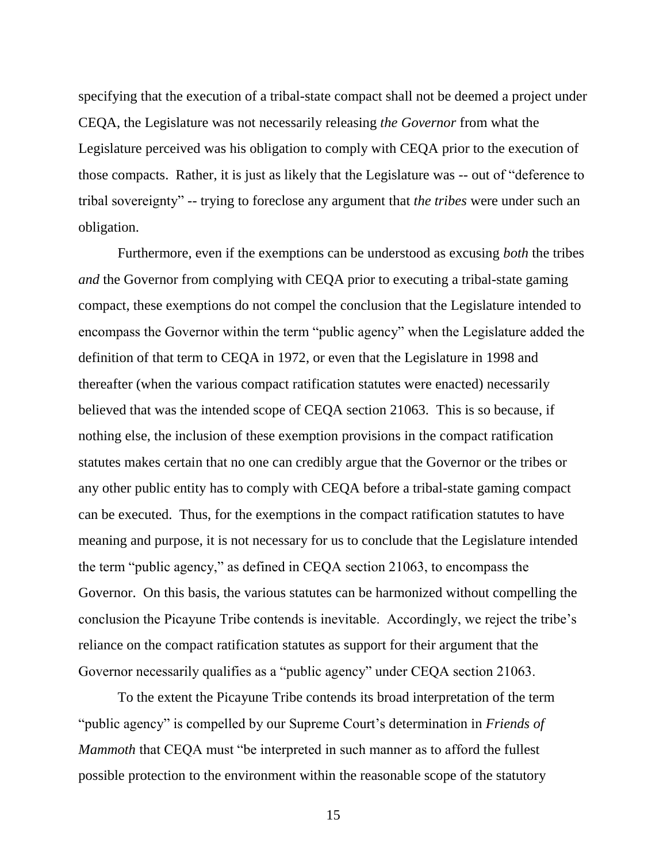specifying that the execution of a tribal-state compact shall not be deemed a project under CEQA, the Legislature was not necessarily releasing *the Governor* from what the Legislature perceived was his obligation to comply with CEQA prior to the execution of those compacts. Rather, it is just as likely that the Legislature was -- out of "deference to tribal sovereignty" -- trying to foreclose any argument that *the tribes* were under such an obligation.

Furthermore, even if the exemptions can be understood as excusing *both* the tribes *and* the Governor from complying with CEQA prior to executing a tribal-state gaming compact, these exemptions do not compel the conclusion that the Legislature intended to encompass the Governor within the term "public agency" when the Legislature added the definition of that term to CEQA in 1972, or even that the Legislature in 1998 and thereafter (when the various compact ratification statutes were enacted) necessarily believed that was the intended scope of CEQA section 21063. This is so because, if nothing else, the inclusion of these exemption provisions in the compact ratification statutes makes certain that no one can credibly argue that the Governor or the tribes or any other public entity has to comply with CEQA before a tribal-state gaming compact can be executed. Thus, for the exemptions in the compact ratification statutes to have meaning and purpose, it is not necessary for us to conclude that the Legislature intended the term "public agency," as defined in CEQA section 21063, to encompass the Governor. On this basis, the various statutes can be harmonized without compelling the conclusion the Picayune Tribe contends is inevitable. Accordingly, we reject the tribe's reliance on the compact ratification statutes as support for their argument that the Governor necessarily qualifies as a "public agency" under CEQA section 21063.

To the extent the Picayune Tribe contends its broad interpretation of the term "public agency" is compelled by our Supreme Court's determination in *Friends of Mammoth* that CEQA must "be interpreted in such manner as to afford the fullest possible protection to the environment within the reasonable scope of the statutory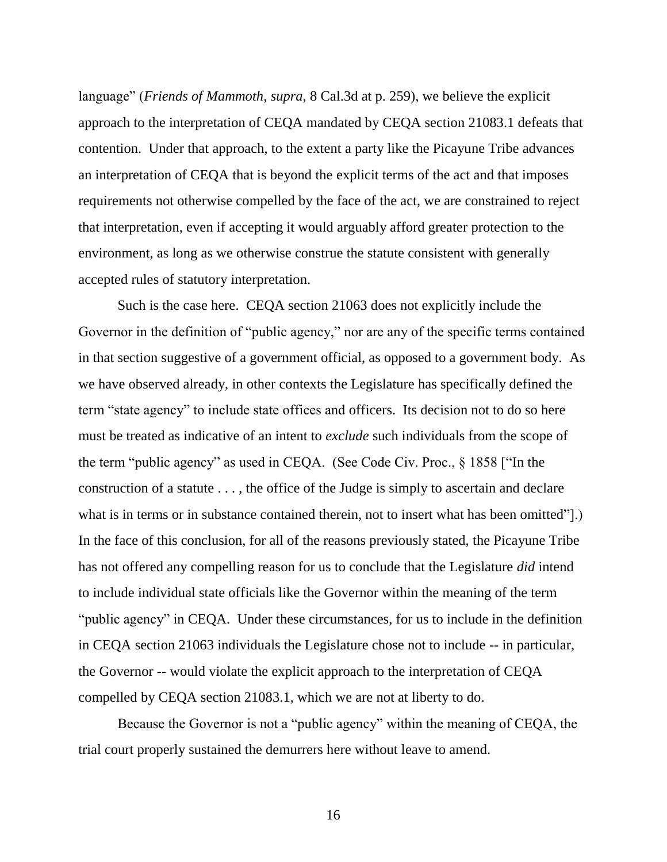language" (*Friends of Mammoth*, *supra*, 8 Cal.3d at p. 259), we believe the explicit approach to the interpretation of CEQA mandated by CEQA section 21083.1 defeats that contention. Under that approach, to the extent a party like the Picayune Tribe advances an interpretation of CEQA that is beyond the explicit terms of the act and that imposes requirements not otherwise compelled by the face of the act, we are constrained to reject that interpretation, even if accepting it would arguably afford greater protection to the environment, as long as we otherwise construe the statute consistent with generally accepted rules of statutory interpretation.

Such is the case here. CEQA section 21063 does not explicitly include the Governor in the definition of "public agency," nor are any of the specific terms contained in that section suggestive of a government official, as opposed to a government body. As we have observed already, in other contexts the Legislature has specifically defined the term "state agency" to include state offices and officers. Its decision not to do so here must be treated as indicative of an intent to *exclude* such individuals from the scope of the term "public agency" as used in CEQA. (See Code Civ. Proc., § 1858 ["In the construction of a statute . . . , the office of the Judge is simply to ascertain and declare what is in terms or in substance contained therein, not to insert what has been omitted".) In the face of this conclusion, for all of the reasons previously stated, the Picayune Tribe has not offered any compelling reason for us to conclude that the Legislature *did* intend to include individual state officials like the Governor within the meaning of the term "public agency" in CEQA. Under these circumstances, for us to include in the definition in CEQA section 21063 individuals the Legislature chose not to include -- in particular, the Governor -- would violate the explicit approach to the interpretation of CEQA compelled by CEQA section 21083.1, which we are not at liberty to do.

Because the Governor is not a "public agency" within the meaning of CEQA, the trial court properly sustained the demurrers here without leave to amend.